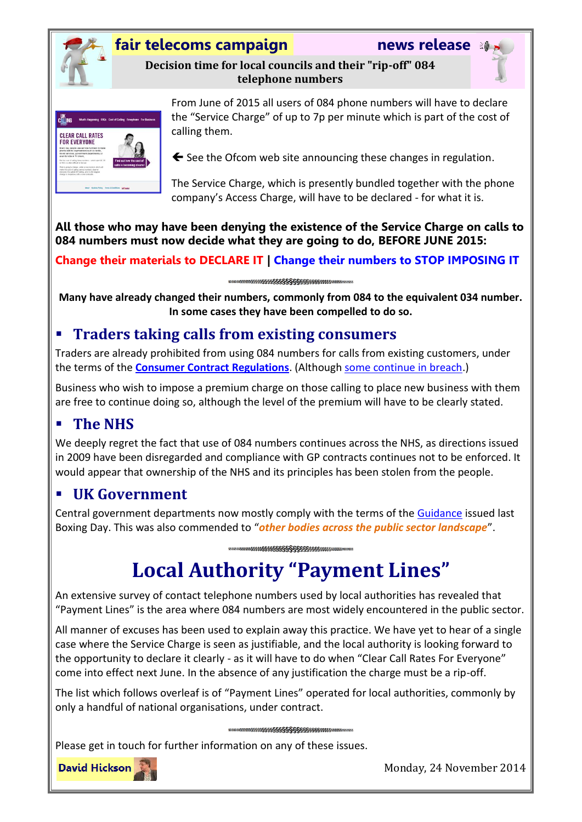

## **fair telecoms campaign news release**

**Decision time for local councils and their "rip-off" 084 telephone numbers**





From June of 2015 all users of 084 phone numbers will have to declare the "Service Charge" of up to 7p per minute which is part of the cost of calling them.

 $\blacktriangle$  See the Ofcom web site announcing these changes in regulation.

The Service Charge, which is presently bundled together with the phone company's Access Charge, will have to be declared - for what it is.

**All those who may have been denying the existence of the Service Charge on calls to 084 numbers must now decide what they are going to do, BEFORE JUNE 2015:**

**Change their materials to DECLARE IT | Change their numbers to STOP IMPOSING IT**

**Many have already changed their numbers, commonly from 084 to the equivalent 034 number. In some cases they have been compelled to do so.**

# **Traders taking calls from existing consumers**

Traders are already prohibited from using 084 numbers for calls from existing customers, under the terms of the **[Consumer Contract Regulations](http://www.legislation.gov.uk/uksi/2013/3134/regulation/41/made)**. (Although [some continue in breach.](http://www.fairtelecoms.org.uk/uploads/1/1/4/5/11456053/traders_in_breach_15_august_2014.pdf))

Business who wish to impose a premium charge on those calling to place new business with them are free to continue doing so, although the level of the premium will have to be clearly stated.

## **The NHS**

We deeply regret the fact that use of 084 numbers continues across the NHS, as directions issued in 2009 have been disregarded and compliance with GP contracts continues not to be enforced. It would appear that ownership of the NHS and its principles has been stolen from the people.

## **UK Government**

Central government departments now mostly comply with the terms of the [Guidance](https://www.gov.uk/government/uploads/system/uploads/attachment_data/file/268785/hmg-guidance-customer-service-lines.pdf) issued last Boxing Day. This was also commended to "*other bodies across the public sector landscape*".

# **Local Authority "Payment Lines"**

An extensive survey of contact telephone numbers used by local authorities has revealed that "Payment Lines" is the area where 084 numbers are most widely encountered in the public sector.

All manner of excuses has been used to explain away this practice. We have yet to hear of a single case where the Service Charge is seen as justifiable, and the local authority is looking forward to the opportunity to declare it clearly - as it will have to do when "Clear Call Rates For Everyone" come into effect next June. In the absence of any justification the charge must be a rip-off.

The list which follows overleaf is of "Payment Lines" operated for local authorities, commonly by only a handful of national organisations, under contract.

### 

Please get in touch for further information on any of these issues.



Monday, 24 November 2014